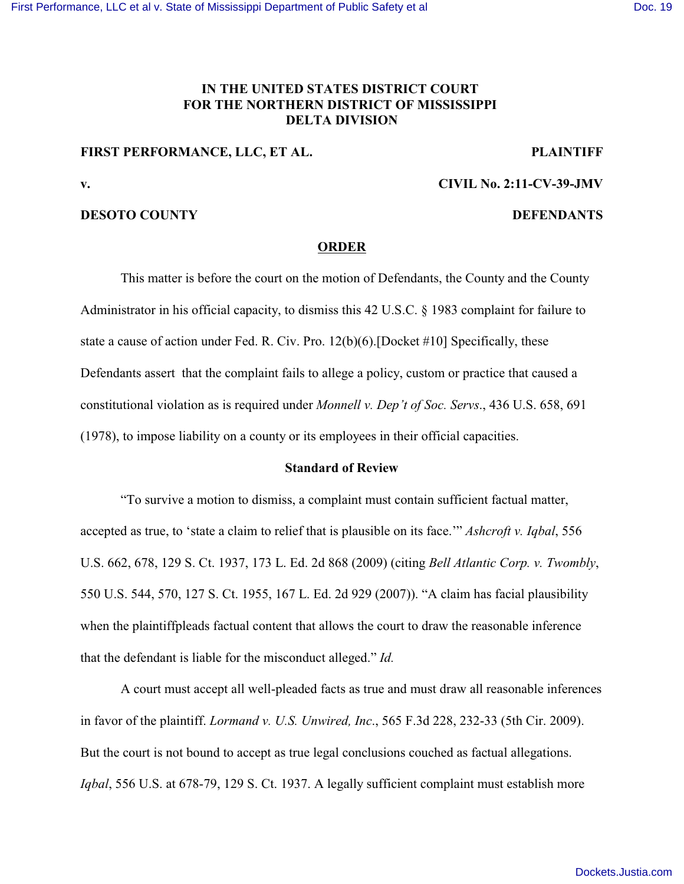## **IN THE UNITED STATES DISTRICT COURT FOR THE NORTHERN DISTRICT OF MISSISSIPPI DELTA DIVISION**

# **FIRST PERFORMANCE, LLC, ET AL. PLAINTIFF**

**v. CIVIL No. 2:11-CV-39-JMV**

## **DESOTO COUNTY DEFENDANTS**

### **ORDER**

This matter is before the court on the motion of Defendants, the County and the County Administrator in his official capacity, to dismiss this 42 U.S.C. § 1983 complaint for failure to state a cause of action under Fed. R. Civ. Pro. 12(b)(6).[Docket #10] Specifically, these Defendants assert that the complaint fails to allege a policy, custom or practice that caused a constitutional violation as is required under *Monnell v. Dep't of Soc. Servs*., 436 U.S. 658, 691 (1978), to impose liability on a county or its employees in their official capacities.

## **Standard of Review**

"To survive a motion to dismiss, a complaint must contain sufficient factual matter, accepted as true, to 'state a claim to relief that is plausible on its face.'" *Ashcroft v. Iqbal*, 556 U.S. 662, 678, 129 S. Ct. 1937, 173 L. Ed. 2d 868 (2009) (citing *Bell Atlantic Corp. v. Twombly*, 550 U.S. 544, 570, 127 S. Ct. 1955, 167 L. Ed. 2d 929 (2007)). "A claim has facial plausibility when the plaintiffpleads factual content that allows the court to draw the reasonable inference that the defendant is liable for the misconduct alleged." *Id.* 

A court must accept all well-pleaded facts as true and must draw all reasonable inferences in favor of the plaintiff. *Lormand v. U.S. Unwired, Inc*., 565 F.3d 228, 232-33 (5th Cir. 2009). But the court is not bound to accept as true legal conclusions couched as factual allegations. *Iqbal*, 556 U.S. at 678-79, 129 S. Ct. 1937. A legally sufficient complaint must establish more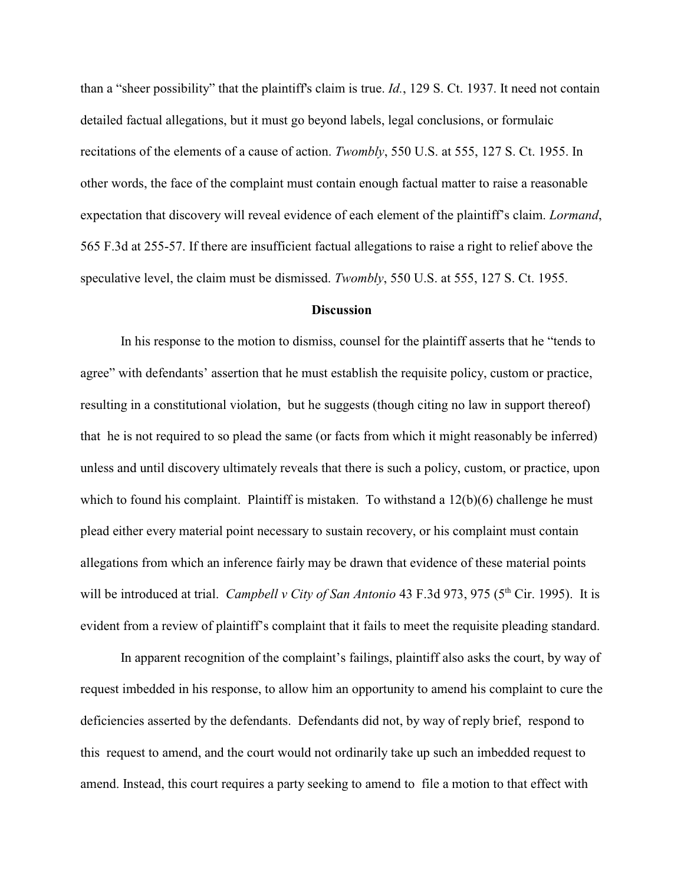than a "sheer possibility" that the plaintiff's claim is true. *Id.*, 129 S. Ct. 1937. It need not contain detailed factual allegations, but it must go beyond labels, legal conclusions, or formulaic recitations of the elements of a cause of action. *Twombly*, 550 U.S. at 555, 127 S. Ct. 1955. In other words, the face of the complaint must contain enough factual matter to raise a reasonable expectation that discovery will reveal evidence of each element of the plaintiff's claim. *Lormand*, 565 F.3d at 255-57. If there are insufficient factual allegations to raise a right to relief above the speculative level, the claim must be dismissed. *Twombly*, 550 U.S. at 555, 127 S. Ct. 1955.

### **Discussion**

In his response to the motion to dismiss, counsel for the plaintiff asserts that he "tends to agree" with defendants' assertion that he must establish the requisite policy, custom or practice, resulting in a constitutional violation, but he suggests (though citing no law in support thereof) that he is not required to so plead the same (or facts from which it might reasonably be inferred) unless and until discovery ultimately reveals that there is such a policy, custom, or practice, upon which to found his complaint. Plaintiff is mistaken. To withstand a  $12(b)(6)$  challenge he must plead either every material point necessary to sustain recovery, or his complaint must contain allegations from which an inference fairly may be drawn that evidence of these material points will be introduced at trial. *Campbell v City of San Antonio* 43 F.3d 973, 975 (5<sup>th</sup> Cir. 1995). It is evident from a review of plaintiff's complaint that it fails to meet the requisite pleading standard.

In apparent recognition of the complaint's failings, plaintiff also asks the court, by way of request imbedded in his response, to allow him an opportunity to amend his complaint to cure the deficiencies asserted by the defendants. Defendants did not, by way of reply brief, respond to this request to amend, and the court would not ordinarily take up such an imbedded request to amend. Instead, this court requires a party seeking to amend to file a motion to that effect with